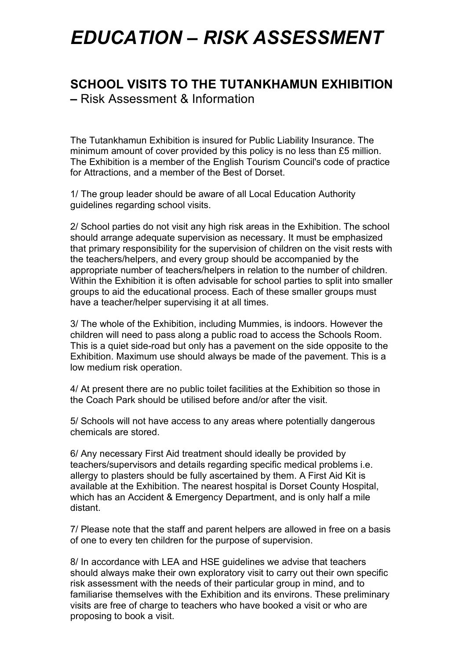# *EDUCATION – RISK ASSESSMENT*

## **SCHOOL VISITS TO THE TUTANKHAMUN EXHIBITION**

**–** Risk Assessment & Information

The Tutankhamun Exhibition is insured for Public Liability Insurance. The minimum amount of cover provided by this policy is no less than £5 million. The Exhibition is a member of the English Tourism Council's code of practice for Attractions, and a member of the Best of Dorset.

1/ The group leader should be aware of all Local Education Authority guidelines regarding school visits.

2/ School parties do not visit any high risk areas in the Exhibition. The school should arrange adequate supervision as necessary. It must be emphasized that primary responsibility for the supervision of children on the visit rests with the teachers/helpers, and every group should be accompanied by the appropriate number of teachers/helpers in relation to the number of children. Within the Exhibition it is often advisable for school parties to split into smaller groups to aid the educational process. Each of these smaller groups must have a teacher/helper supervising it at all times.

3/ The whole of the Exhibition, including Mummies, is indoors. However the children will need to pass along a public road to access the Schools Room. This is a quiet side-road but only has a pavement on the side opposite to the Exhibition. Maximum use should always be made of the pavement. This is a low medium risk operation.

4/ At present there are no public toilet facilities at the Exhibition so those in the Coach Park should be utilised before and/or after the visit.

5/ Schools will not have access to any areas where potentially dangerous chemicals are stored.

6/ Any necessary First Aid treatment should ideally be provided by teachers/supervisors and details regarding specific medical problems i.e. allergy to plasters should be fully ascertained by them. A First Aid Kit is available at the Exhibition. The nearest hospital is Dorset County Hospital, which has an Accident & Emergency Department, and is only half a mile distant.

7/ Please note that the staff and parent helpers are allowed in free on a basis of one to every ten children for the purpose of supervision.

8/ In accordance with LEA and HSE guidelines we advise that teachers should always make their own exploratory visit to carry out their own specific risk assessment with the needs of their particular group in mind, and to familiarise themselves with the Exhibition and its environs. These preliminary visits are free of charge to teachers who have booked a visit or who are proposing to book a visit.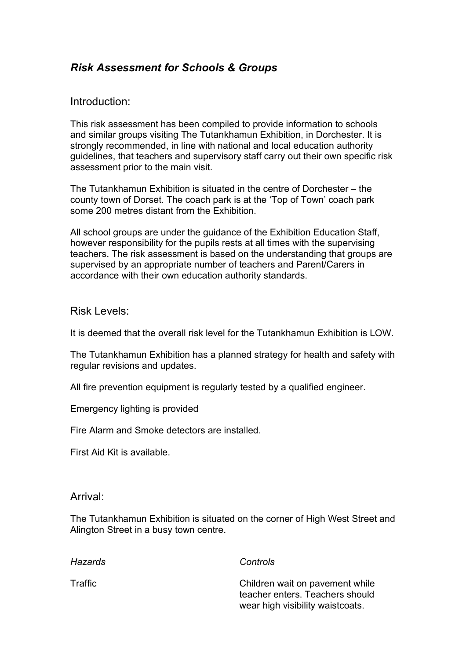### *Risk Assessment for Schools & Groups*

#### Introduction:

This risk assessment has been compiled to provide information to schools and similar groups visiting The Tutankhamun Exhibition, in Dorchester. It is strongly recommended, in line with national and local education authority guidelines, that teachers and supervisory staff carry out their own specific risk assessment prior to the main visit.

The Tutankhamun Exhibition is situated in the centre of Dorchester – the county town of Dorset. The coach park is at the 'Top of Town' coach park some 200 metres distant from the Exhibition.

All school groups are under the guidance of the Exhibition Education Staff, however responsibility for the pupils rests at all times with the supervising teachers. The risk assessment is based on the understanding that groups are supervised by an appropriate number of teachers and Parent/Carers in accordance with their own education authority standards.

#### Risk Levels:

It is deemed that the overall risk level for the Tutankhamun Exhibition is LOW

The Tutankhamun Exhibition has a planned strategy for health and safety with regular revisions and updates.

All fire prevention equipment is regularly tested by a qualified engineer.

Emergency lighting is provided

Fire Alarm and Smoke detectors are installed.

First Aid Kit is available.

#### Arrival:

The Tutankhamun Exhibition is situated on the corner of High West Street and Alington Street in a busy town centre.

| Hazards | Controls                                                                                               |
|---------|--------------------------------------------------------------------------------------------------------|
| Traffic | Children wait on pavement while<br>teacher enters. Teachers should<br>wear high visibility waistcoats. |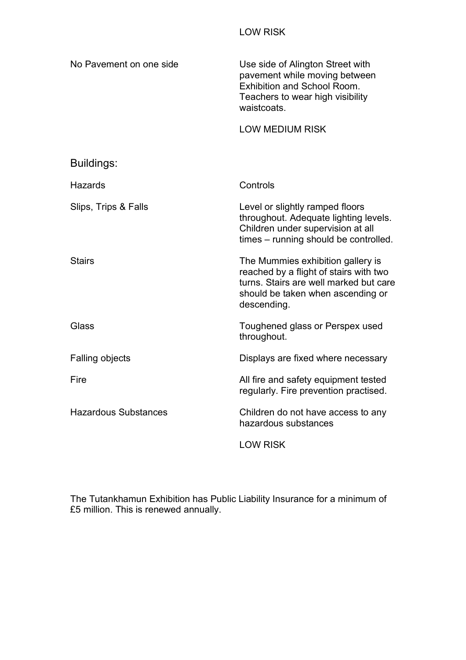| No Pavement on one side     | Use side of Alington Street with<br>pavement while moving between<br><b>Exhibition and School Room.</b><br>Teachers to wear high visibility<br>waistcoats.                |
|-----------------------------|---------------------------------------------------------------------------------------------------------------------------------------------------------------------------|
|                             | <b>LOW MEDIUM RISK</b>                                                                                                                                                    |
| Buildings:                  |                                                                                                                                                                           |
| <b>Hazards</b>              | Controls                                                                                                                                                                  |
| Slips, Trips & Falls        | Level or slightly ramped floors<br>throughout. Adequate lighting levels.<br>Children under supervision at all<br>times – running should be controlled.                    |
| <b>Stairs</b>               | The Mummies exhibition gallery is<br>reached by a flight of stairs with two<br>turns. Stairs are well marked but care<br>should be taken when ascending or<br>descending. |
| Glass                       | Toughened glass or Perspex used<br>throughout.                                                                                                                            |
| <b>Falling objects</b>      | Displays are fixed where necessary                                                                                                                                        |
| Fire                        | All fire and safety equipment tested<br>regularly. Fire prevention practised.                                                                                             |
| <b>Hazardous Substances</b> | Children do not have access to any<br>hazardous substances                                                                                                                |
|                             | <b>LOW RISK</b>                                                                                                                                                           |

The Tutankhamun Exhibition has Public Liability Insurance for a minimum of £5 million. This is renewed annually.